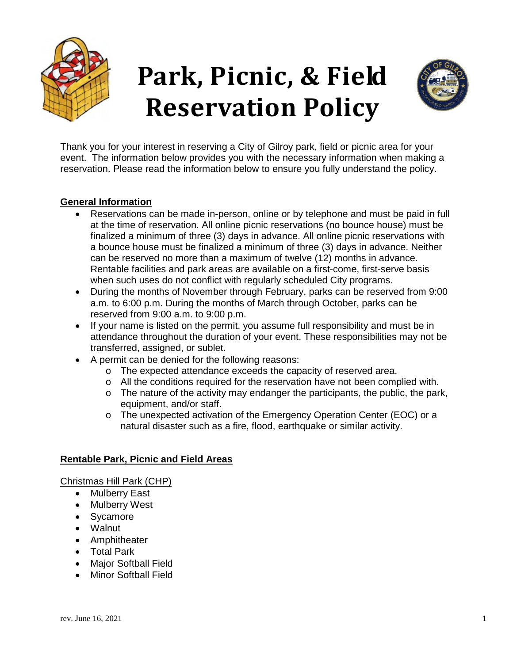

# **Park, Picnic, & Field Reservation Policy**



Thank you for your interest in reserving a City of Gilroy park, field or picnic area for your event. The information below provides you with the necessary information when making a reservation. Please read the information below to ensure you fully understand the policy.

# **General Information**

- Reservations can be made in-person, online or by telephone and must be paid in full at the time of reservation. All online picnic reservations (no bounce house) must be finalized a minimum of three (3) days in advance. All online picnic reservations with a bounce house must be finalized a minimum of three (3) days in advance. Neither can be reserved no more than a maximum of twelve (12) months in advance. Rentable facilities and park areas are available on a first-come, first-serve basis when such uses do not conflict with regularly scheduled City programs.
- During the months of November through February, parks can be reserved from 9:00 a.m. to 6:00 p.m. During the months of March through October, parks can be reserved from 9:00 a.m. to 9:00 p.m.
- If your name is listed on the permit, you assume full responsibility and must be in attendance throughout the duration of your event. These responsibilities may not be transferred, assigned, or sublet.
- A permit can be denied for the following reasons:
	- o The expected attendance exceeds the capacity of reserved area.
	- $\circ$  All the conditions required for the reservation have not been complied with.
	- $\circ$  The nature of the activity may endanger the participants, the public, the park, equipment, and/or staff.
	- o The unexpected activation of the Emergency Operation Center (EOC) or a natural disaster such as a fire, flood, earthquake or similar activity.

# **Rentable Park, Picnic and Field Areas**

Christmas Hill Park (CHP)

- **Mulberry East**
- Mulberry West
- Sycamore
- Walnut
- Amphitheater
- Total Park
- Major Softball Field
- Minor Softball Field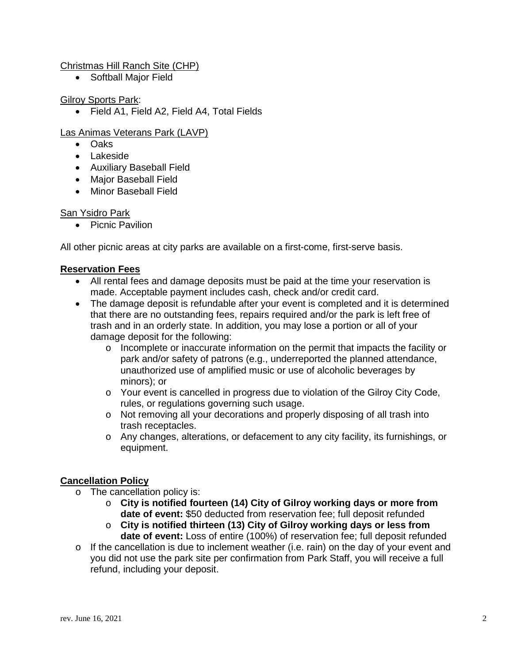#### Christmas Hill Ranch Site (CHP)

• Softball Major Field

#### Gilroy Sports Park:

• Field A1, Field A2, Field A4, Total Fields

### Las Animas Veterans Park (LAVP)

- Oaks
- Lakeside
- Auxiliary Baseball Field
- Major Baseball Field
- Minor Baseball Field

#### San Ysidro Park

• Picnic Pavilion

All other picnic areas at city parks are available on a first-come, first-serve basis.

#### **Reservation Fees**

- All rental fees and damage deposits must be paid at the time your reservation is made. Acceptable payment includes cash, check and/or credit card.
- The damage deposit is refundable after your event is completed and it is determined that there are no outstanding fees, repairs required and/or the park is left free of trash and in an orderly state. In addition, you may lose a portion or all of your damage deposit for the following:
	- o Incomplete or inaccurate information on the permit that impacts the facility or park and/or safety of patrons (e.g., underreported the planned attendance, unauthorized use of amplified music or use of alcoholic beverages by minors); or
	- o Your event is cancelled in progress due to violation of the Gilroy City Code, rules, or regulations governing such usage.
	- o Not removing all your decorations and properly disposing of all trash into trash receptacles.
	- o Any changes, alterations, or defacement to any city facility, its furnishings, or equipment.

#### **Cancellation Policy**

- o The cancellation policy is:
	- o **City is notified fourteen (14) City of Gilroy working days or more from date of event:** \$50 deducted from reservation fee; full deposit refunded
	- o **City is notified thirteen (13) City of Gilroy working days or less from date of event:** Loss of entire (100%) of reservation fee; full deposit refunded
- $\circ$  If the cancellation is due to inclement weather (i.e. rain) on the day of your event and you did not use the park site per confirmation from Park Staff, you will receive a full refund, including your deposit.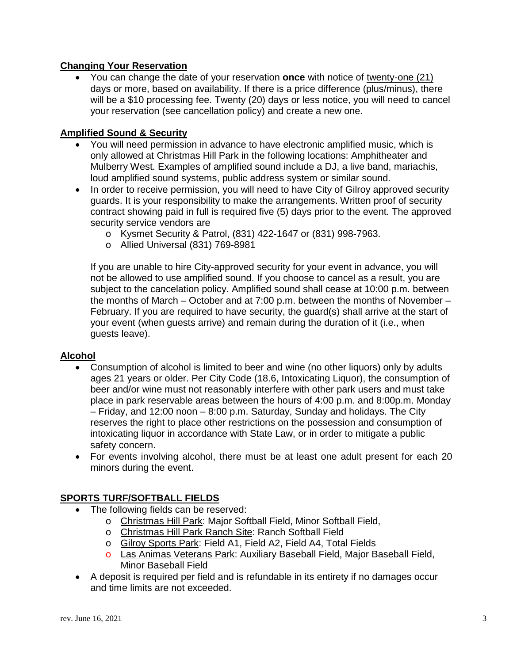# **Changing Your Reservation**

• You can change the date of your reservation **once** with notice of twenty-one (21) days or more, based on availability. If there is a price difference (plus/minus), there will be a \$10 processing fee. Twenty (20) days or less notice, you will need to cancel your reservation (see cancellation policy) and create a new one.

# **Amplified Sound & Security**

- You will need permission in advance to have electronic amplified music, which is only allowed at Christmas Hill Park in the following locations: Amphitheater and Mulberry West. Examples of amplified sound include a DJ, a live band, mariachis, loud amplified sound systems, public address system or similar sound.
- In order to receive permission, you will need to have City of Gilroy approved security guards. It is your responsibility to make the arrangements. Written proof of security contract showing paid in full is required five (5) days prior to the event. The approved security service vendors are
	- o Kysmet Security & Patrol, (831) 422-1647 or (831) 998-7963.
	- o Allied Universal (831) 769-8981

If you are unable to hire City-approved security for your event in advance, you will not be allowed to use amplified sound. If you choose to cancel as a result, you are subject to the cancelation policy. Amplified sound shall cease at 10:00 p.m. between the months of March – October and at 7:00 p.m. between the months of November – February. If you are required to have security, the guard(s) shall arrive at the start of your event (when guests arrive) and remain during the duration of it (i.e., when guests leave).

# **Alcohol**

- Consumption of alcohol is limited to beer and wine (no other liquors) only by adults ages 21 years or older. Per City Code (18.6, Intoxicating Liquor), the consumption of beer and/or wine must not reasonably interfere with other park users and must take place in park reservable areas between the hours of 4:00 p.m. and 8:00p.m. Monday – Friday, and 12:00 noon – 8:00 p.m. Saturday, Sunday and holidays. The City reserves the right to place other restrictions on the possession and consumption of intoxicating liquor in accordance with State Law, or in order to mitigate a public safety concern.
- For events involving alcohol, there must be at least one adult present for each 20 minors during the event.

# **SPORTS TURF/SOFTBALL FIELDS**

- The following fields can be reserved:
	- o Christmas Hill Park: Major Softball Field, Minor Softball Field,
	- o Christmas Hill Park Ranch Site: Ranch Softball Field
	- o Gilroy Sports Park: Field A1, Field A2, Field A4, Total Fields
	- o Las Animas Veterans Park: Auxiliary Baseball Field, Major Baseball Field, Minor Baseball Field
- A deposit is required per field and is refundable in its entirety if no damages occur and time limits are not exceeded.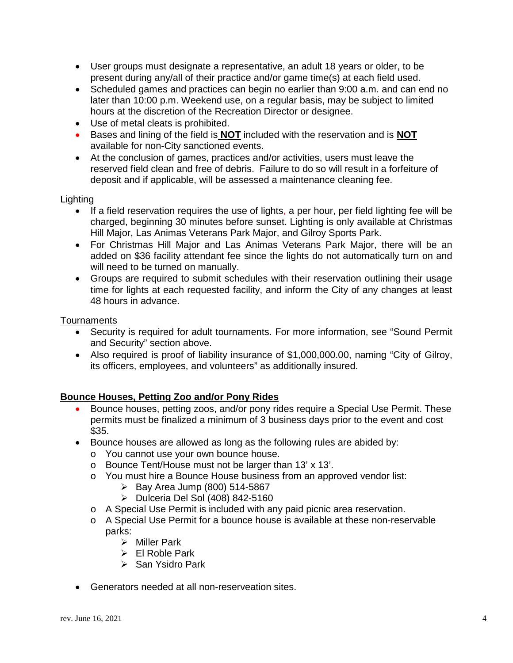- User groups must designate a representative, an adult 18 years or older, to be present during any/all of their practice and/or game time(s) at each field used.
- Scheduled games and practices can begin no earlier than 9:00 a.m. and can end no later than 10:00 p.m. Weekend use, on a regular basis, may be subject to limited hours at the discretion of the Recreation Director or designee.
- Use of metal cleats is prohibited.
- Bases and lining of the field is **NOT** included with the reservation and is **NOT** available for non-City sanctioned events.
- At the conclusion of games, practices and/or activities, users must leave the reserved field clean and free of debris. Failure to do so will result in a forfeiture of deposit and if applicable, will be assessed a maintenance cleaning fee.

#### Lighting

- If a field reservation requires the use of lights, a per hour, per field lighting fee will be charged, beginning 30 minutes before sunset. Lighting is only available at Christmas Hill Major, Las Animas Veterans Park Major, and Gilroy Sports Park.
- For Christmas Hill Major and Las Animas Veterans Park Major, there will be an added on \$36 facility attendant fee since the lights do not automatically turn on and will need to be turned on manually.
- Groups are required to submit schedules with their reservation outlining their usage time for lights at each requested facility, and inform the City of any changes at least 48 hours in advance.

#### Tournaments

- Security is required for adult tournaments. For more information, see "Sound Permit and Security" section above.
- Also required is proof of liability insurance of \$1,000,000.00, naming "City of Gilroy, its officers, employees, and volunteers" as additionally insured.

# **Bounce Houses, Petting Zoo and/or Pony Rides**

- Bounce houses, petting zoos, and/or pony rides require a Special Use Permit. These permits must be finalized a minimum of 3 business days prior to the event and cost \$35.
- Bounce houses are allowed as long as the following rules are abided by:
	- o You cannot use your own bounce house.
	- o Bounce Tent/House must not be larger than 13' x 13'.
	- o You must hire a Bounce House business from an approved vendor list:
		- $\triangleright$  Bay Area Jump (800) 514-5867
		- $\triangleright$  Dulceria Del Sol (408) 842-5160
	- o A Special Use Permit is included with any paid picnic area reservation.
	- o A Special Use Permit for a bounce house is available at these non-reservable parks:
		- $\triangleright$  Miller Park
		- El Roble Park
		- $\triangleright$  San Ysidro Park
- Generators needed at all non-reserveation sites.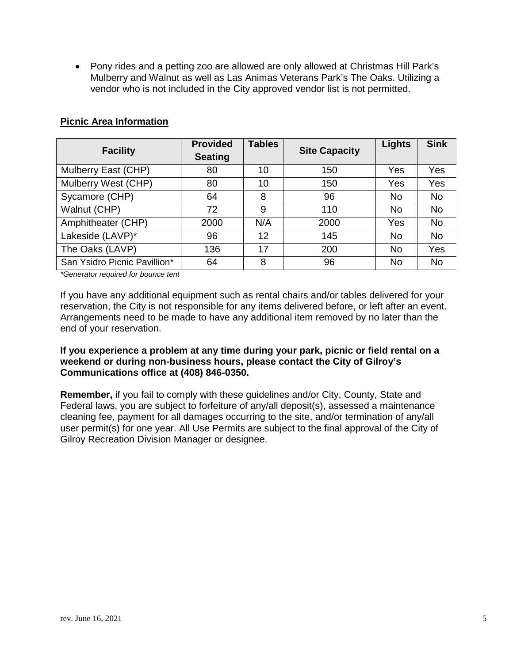• Pony rides and a petting zoo are allowed are only allowed at Christmas Hill Park's Mulberry and Walnut as well as Las Animas Veterans Park's The Oaks. Utilizing a vendor who is not included in the City approved vendor list is not permitted.

| <b>Facility</b>              | <b>Provided</b><br><b>Seating</b> | <b>Tables</b> | <b>Site Capacity</b> | Lights    | <b>Sink</b> |
|------------------------------|-----------------------------------|---------------|----------------------|-----------|-------------|
| Mulberry East (CHP)          | 80                                | 10            | 150                  | Yes       | Yes         |
| Mulberry West (CHP)          | 80                                | 10            | 150                  | Yes       | Yes         |
| Sycamore (CHP)               | 64                                | 8             | 96                   | <b>No</b> | <b>No</b>   |
| Walnut (CHP)                 | 72                                | 9             | 110                  | <b>No</b> | <b>No</b>   |
| Amphitheater (CHP)           | 2000                              | N/A           | 2000                 | Yes       | <b>No</b>   |
| Lakeside (LAVP)*             | 96                                | 12            | 145                  | <b>No</b> | <b>No</b>   |
| The Oaks (LAVP)              | 136                               | 17            | 200                  | <b>No</b> | Yes         |
| San Ysidro Picnic Pavillion* | 64                                | 8             | 96                   | <b>No</b> | <b>No</b>   |

#### **Picnic Area Information**

*\*Generator required for bounce tent*

If you have any additional equipment such as rental chairs and/or tables delivered for your reservation, the City is not responsible for any items delivered before, or left after an event. Arrangements need to be made to have any additional item removed by no later than the end of your reservation.

**If you experience a problem at any time during your park, picnic or field rental on a weekend or during non-business hours, please contact the City of Gilroy's Communications office at (408) 846-0350.** 

**Remember,** if you fail to comply with these guidelines and/or City, County, State and Federal laws, you are subject to forfeiture of any/all deposit(s), assessed a maintenance cleaning fee, payment for all damages occurring to the site, and/or termination of any/all user permit(s) for one year. All Use Permits are subject to the final approval of the City of Gilroy Recreation Division Manager or designee.